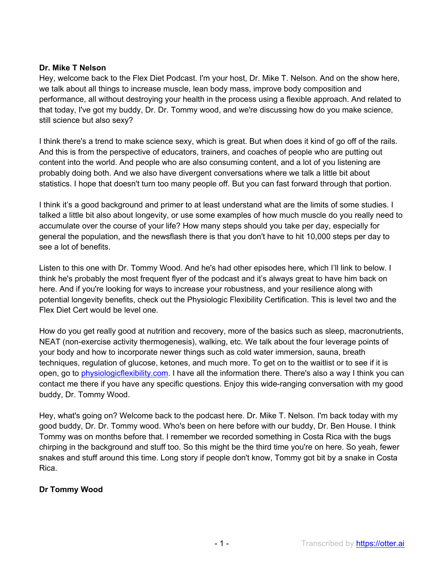Hey, welcome back to the Flex Diet Podcast. I'm your host, Dr. Mike T. Nelson. And on the show here, we talk about all things to increase muscle, lean body mass, improve body composition and performance, all without destroying your health in the process using a flexible approach. And related to that today, I've got my buddy, Dr. Dr. Tommy wood, and we're discussing how do you make science, still science but also sexy?

I think there's a trend to make science sexy, which is great. But when does it kind of go off of the rails. And this is from the perspective of educators, trainers, and coaches of people who are putting out content into the world. And people who are also consuming content, and a lot of you listening are probably doing both. And we also have divergent conversations where we talk a little bit about statistics. I hope that doesn't turn too many people off. But you can fast forward through that portion.

I think it's a good background and primer to at least understand what are the limits of some studies. I talked a little bit also about longevity, or use some examples of how much muscle do you really need to accumulate over the course of your life? How many steps should you take per day, especially for general the population, and the newsflash there is that you don't have to hit 10,000 steps per day to see a lot of benefits.

Listen to this one with Dr. Tommy Wood. And he's had other episodes here, which I'll link to below. I think he's probably the most frequent flyer of the podcast and it's always great to have him back on here. And if you're looking for ways to increase your robustness, and your resilience along with potential longevity benefits, check out the Physiologic Flexibility Certification. This is level two and the Flex Diet Cert would be level one.

How do you get really good at nutrition and recovery, more of the basics such as sleep, macronutrients, NEAT (non-exercise activity thermogenesis), walking, etc. We talk about the four leverage points of your body and how to incorporate newer things such as cold water immersion, sauna, breath techniques, regulation of glucose, ketones, and much more. To get on to the waitlist or to see if it is open, go to physiologicflexibility.com. I have all the information there. There's also a way I think you can contact me there if you have any specific questions. Enjoy this wide-ranging conversation with my good buddy, Dr. Tommy Wood.

Hey, what's going on? Welcome back to the podcast here. Dr. Mike T. Nelson. I'm back today with my good buddy, Dr. Dr. Tommy wood. Who's been on here before with our buddy, Dr. Ben House. I think Tommy was on months before that. I remember we recorded something in Costa Rica with the bugs chirping in the background and stuff too. So this might be the third time you're on here. So yeah, fewer snakes and stuff around this time. Long story if people don't know, Tommy got bit by a snake in Costa Rica.

# **Dr Tommy Wood**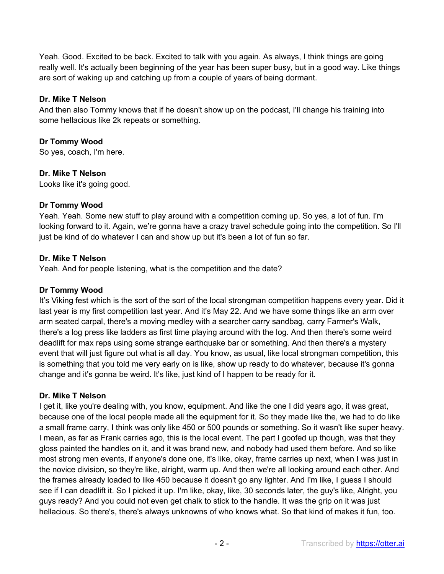Yeah. Good. Excited to be back. Excited to talk with you again. As always, I think things are going really well. It's actually been beginning of the year has been super busy, but in a good way. Like things are sort of waking up and catching up from a couple of years of being dormant.

### **Dr. Mike T Nelson**

And then also Tommy knows that if he doesn't show up on the podcast, I'll change his training into some hellacious like 2k repeats or something.

### **Dr Tommy Wood**

So yes, coach, I'm here.

### **Dr. Mike T Nelson**

Looks like it's going good.

### **Dr Tommy Wood**

Yeah. Yeah. Some new stuff to play around with a competition coming up. So yes, a lot of fun. I'm looking forward to it. Again, we're gonna have a crazy travel schedule going into the competition. So I'll just be kind of do whatever I can and show up but it's been a lot of fun so far.

#### **Dr. Mike T Nelson**

Yeah. And for people listening, what is the competition and the date?

### **Dr Tommy Wood**

It's Viking fest which is the sort of the sort of the local strongman competition happens every year. Did it last year is my first competition last year. And it's May 22. And we have some things like an arm over arm seated carpal, there's a moving medley with a searcher carry sandbag, carry Farmer's Walk, there's a log press like ladders as first time playing around with the log. And then there's some weird deadlift for max reps using some strange earthquake bar or something. And then there's a mystery event that will just figure out what is all day. You know, as usual, like local strongman competition, this is something that you told me very early on is like, show up ready to do whatever, because it's gonna change and it's gonna be weird. It's like, just kind of I happen to be ready for it.

#### **Dr. Mike T Nelson**

I get it, like you're dealing with, you know, equipment. And like the one I did years ago, it was great, because one of the local people made all the equipment for it. So they made like the, we had to do like a small frame carry, I think was only like 450 or 500 pounds or something. So it wasn't like super heavy. I mean, as far as Frank carries ago, this is the local event. The part I goofed up though, was that they gloss painted the handles on it, and it was brand new, and nobody had used them before. And so like most strong men events, if anyone's done one, it's like, okay, frame carries up next, when I was just in the novice division, so they're like, alright, warm up. And then we're all looking around each other. And the frames already loaded to like 450 because it doesn't go any lighter. And I'm like, I guess I should see if I can deadlift it. So I picked it up. I'm like, okay, like, 30 seconds later, the guy's like, Alright, you guys ready? And you could not even get chalk to stick to the handle. It was the grip on it was just hellacious. So there's, there's always unknowns of who knows what. So that kind of makes it fun, too.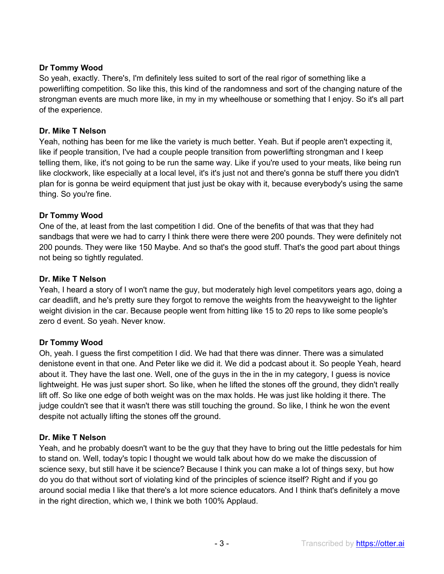# **Dr Tommy Wood**

So yeah, exactly. There's, I'm definitely less suited to sort of the real rigor of something like a powerlifting competition. So like this, this kind of the randomness and sort of the changing nature of the strongman events are much more like, in my in my wheelhouse or something that I enjoy. So it's all part of the experience.

# **Dr. Mike T Nelson**

Yeah, nothing has been for me like the variety is much better. Yeah. But if people aren't expecting it, like if people transition, I've had a couple people transition from powerlifting strongman and I keep telling them, like, it's not going to be run the same way. Like if you're used to your meats, like being run like clockwork, like especially at a local level, it's it's just not and there's gonna be stuff there you didn't plan for is gonna be weird equipment that just just be okay with it, because everybody's using the same thing. So you're fine.

# **Dr Tommy Wood**

One of the, at least from the last competition I did. One of the benefits of that was that they had sandbags that were we had to carry I think there were there were 200 pounds. They were definitely not 200 pounds. They were like 150 Maybe. And so that's the good stuff. That's the good part about things not being so tightly regulated.

# **Dr. Mike T Nelson**

Yeah, I heard a story of I won't name the guy, but moderately high level competitors years ago, doing a car deadlift, and he's pretty sure they forgot to remove the weights from the heavyweight to the lighter weight division in the car. Because people went from hitting like 15 to 20 reps to like some people's zero d event. So yeah. Never know.

# **Dr Tommy Wood**

Oh, yeah. I guess the first competition I did. We had that there was dinner. There was a simulated denistone event in that one. And Peter like we did it. We did a podcast about it. So people Yeah, heard about it. They have the last one. Well, one of the guys in the in the in my category, I guess is novice lightweight. He was just super short. So like, when he lifted the stones off the ground, they didn't really lift off. So like one edge of both weight was on the max holds. He was just like holding it there. The judge couldn't see that it wasn't there was still touching the ground. So like, I think he won the event despite not actually lifting the stones off the ground.

# **Dr. Mike T Nelson**

Yeah, and he probably doesn't want to be the guy that they have to bring out the little pedestals for him to stand on. Well, today's topic I thought we would talk about how do we make the discussion of science sexy, but still have it be science? Because I think you can make a lot of things sexy, but how do you do that without sort of violating kind of the principles of science itself? Right and if you go around social media I like that there's a lot more science educators. And I think that's definitely a move in the right direction, which we, I think we both 100% Applaud.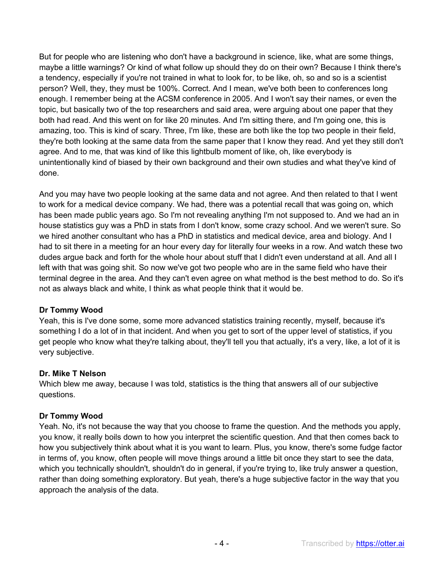But for people who are listening who don't have a background in science, like, what are some things, maybe a little warnings? Or kind of what follow up should they do on their own? Because I think there's a tendency, especially if you're not trained in what to look for, to be like, oh, so and so is a scientist person? Well, they, they must be 100%. Correct. And I mean, we've both been to conferences long enough. I remember being at the ACSM conference in 2005. And I won't say their names, or even the topic, but basically two of the top researchers and said area, were arguing about one paper that they both had read. And this went on for like 20 minutes. And I'm sitting there, and I'm going one, this is amazing, too. This is kind of scary. Three, I'm like, these are both like the top two people in their field, they're both looking at the same data from the same paper that I know they read. And yet they still don't agree. And to me, that was kind of like this lightbulb moment of like, oh, like everybody is unintentionally kind of biased by their own background and their own studies and what they've kind of done.

And you may have two people looking at the same data and not agree. And then related to that I went to work for a medical device company. We had, there was a potential recall that was going on, which has been made public years ago. So I'm not revealing anything I'm not supposed to. And we had an in house statistics guy was a PhD in stats from I don't know, some crazy school. And we weren't sure. So we hired another consultant who has a PhD in statistics and medical device, area and biology. And I had to sit there in a meeting for an hour every day for literally four weeks in a row. And watch these two dudes argue back and forth for the whole hour about stuff that I didn't even understand at all. And all I left with that was going shit. So now we've got two people who are in the same field who have their terminal degree in the area. And they can't even agree on what method is the best method to do. So it's not as always black and white, I think as what people think that it would be.

# **Dr Tommy Wood**

Yeah, this is I've done some, some more advanced statistics training recently, myself, because it's something I do a lot of in that incident. And when you get to sort of the upper level of statistics, if you get people who know what they're talking about, they'll tell you that actually, it's a very, like, a lot of it is very subjective.

# **Dr. Mike T Nelson**

Which blew me away, because I was told, statistics is the thing that answers all of our subjective questions.

#### **Dr Tommy Wood**

Yeah. No, it's not because the way that you choose to frame the question. And the methods you apply, you know, it really boils down to how you interpret the scientific question. And that then comes back to how you subjectively think about what it is you want to learn. Plus, you know, there's some fudge factor in terms of, you know, often people will move things around a little bit once they start to see the data, which you technically shouldn't, shouldn't do in general, if you're trying to, like truly answer a question, rather than doing something exploratory. But yeah, there's a huge subjective factor in the way that you approach the analysis of the data.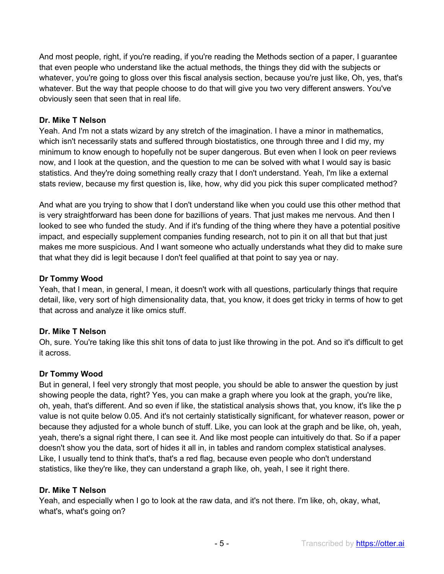And most people, right, if you're reading, if you're reading the Methods section of a paper, I guarantee that even people who understand like the actual methods, the things they did with the subjects or whatever, you're going to gloss over this fiscal analysis section, because you're just like, Oh, yes, that's whatever. But the way that people choose to do that will give you two very different answers. You've obviously seen that seen that in real life.

### **Dr. Mike T Nelson**

Yeah. And I'm not a stats wizard by any stretch of the imagination. I have a minor in mathematics, which isn't necessarily stats and suffered through biostatistics, one through three and I did my, my minimum to know enough to hopefully not be super dangerous. But even when I look on peer reviews now, and I look at the question, and the question to me can be solved with what I would say is basic statistics. And they're doing something really crazy that I don't understand. Yeah, I'm like a external stats review, because my first question is, like, how, why did you pick this super complicated method?

And what are you trying to show that I don't understand like when you could use this other method that is very straightforward has been done for bazillions of years. That just makes me nervous. And then I looked to see who funded the study. And if it's funding of the thing where they have a potential positive impact, and especially supplement companies funding research, not to pin it on all that but that just makes me more suspicious. And I want someone who actually understands what they did to make sure that what they did is legit because I don't feel qualified at that point to say yea or nay.

#### **Dr Tommy Wood**

Yeah, that I mean, in general, I mean, it doesn't work with all questions, particularly things that require detail, like, very sort of high dimensionality data, that, you know, it does get tricky in terms of how to get that across and analyze it like omics stuff.

# **Dr. Mike T Nelson**

Oh, sure. You're taking like this shit tons of data to just like throwing in the pot. And so it's difficult to get it across.

#### **Dr Tommy Wood**

But in general, I feel very strongly that most people, you should be able to answer the question by just showing people the data, right? Yes, you can make a graph where you look at the graph, you're like, oh, yeah, that's different. And so even if like, the statistical analysis shows that, you know, it's like the p value is not quite below 0.05. And it's not certainly statistically significant, for whatever reason, power or because they adjusted for a whole bunch of stuff. Like, you can look at the graph and be like, oh, yeah, yeah, there's a signal right there, I can see it. And like most people can intuitively do that. So if a paper doesn't show you the data, sort of hides it all in, in tables and random complex statistical analyses. Like, I usually tend to think that's, that's a red flag, because even people who don't understand statistics, like they're like, they can understand a graph like, oh, yeah, I see it right there.

#### **Dr. Mike T Nelson**

Yeah, and especially when I go to look at the raw data, and it's not there. I'm like, oh, okay, what, what's, what's going on?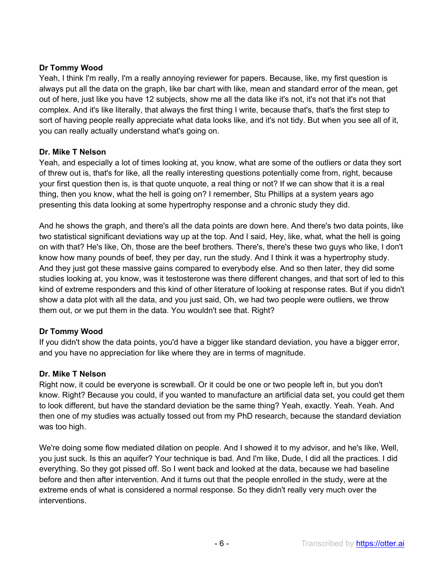### **Dr Tommy Wood**

Yeah, I think I'm really, I'm a really annoying reviewer for papers. Because, like, my first question is always put all the data on the graph, like bar chart with like, mean and standard error of the mean, get out of here, just like you have 12 subjects, show me all the data like it's not, it's not that it's not that complex. And it's like literally, that always the first thing I write, because that's, that's the first step to sort of having people really appreciate what data looks like, and it's not tidy. But when you see all of it, you can really actually understand what's going on.

#### **Dr. Mike T Nelson**

Yeah, and especially a lot of times looking at, you know, what are some of the outliers or data they sort of threw out is, that's for like, all the really interesting questions potentially come from, right, because your first question then is, is that quote unquote, a real thing or not? If we can show that it is a real thing, then you know, what the hell is going on? I remember, Stu Phillips at a system years ago presenting this data looking at some hypertrophy response and a chronic study they did.

And he shows the graph, and there's all the data points are down here. And there's two data points, like two statistical significant deviations way up at the top. And I said, Hey, like, what, what the hell is going on with that? He's like, Oh, those are the beef brothers. There's, there's these two guys who like, I don't know how many pounds of beef, they per day, run the study. And I think it was a hypertrophy study. And they just got these massive gains compared to everybody else. And so then later, they did some studies looking at, you know, was it testosterone was there different changes, and that sort of led to this kind of extreme responders and this kind of other literature of looking at response rates. But if you didn't show a data plot with all the data, and you just said, Oh, we had two people were outliers, we throw them out, or we put them in the data. You wouldn't see that. Right?

#### **Dr Tommy Wood**

If you didn't show the data points, you'd have a bigger like standard deviation, you have a bigger error, and you have no appreciation for like where they are in terms of magnitude.

#### **Dr. Mike T Nelson**

Right now, it could be everyone is screwball. Or it could be one or two people left in, but you don't know. Right? Because you could, if you wanted to manufacture an artificial data set, you could get them to look different, but have the standard deviation be the same thing? Yeah, exactly. Yeah. Yeah. And then one of my studies was actually tossed out from my PhD research, because the standard deviation was too high.

We're doing some flow mediated dilation on people. And I showed it to my advisor, and he's like, Well, you just suck. Is this an aquifer? Your technique is bad. And I'm like, Dude, I did all the practices. I did everything. So they got pissed off. So I went back and looked at the data, because we had baseline before and then after intervention. And it turns out that the people enrolled in the study, were at the extreme ends of what is considered a normal response. So they didn't really very much over the interventions.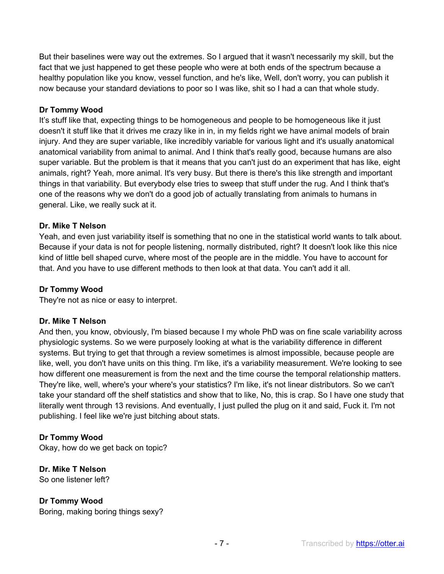But their baselines were way out the extremes. So I argued that it wasn't necessarily my skill, but the fact that we just happened to get these people who were at both ends of the spectrum because a healthy population like you know, vessel function, and he's like, Well, don't worry, you can publish it now because your standard deviations to poor so I was like, shit so I had a can that whole study.

# **Dr Tommy Wood**

It's stuff like that, expecting things to be homogeneous and people to be homogeneous like it just doesn't it stuff like that it drives me crazy like in in, in my fields right we have animal models of brain injury. And they are super variable, like incredibly variable for various light and it's usually anatomical anatomical variability from animal to animal. And I think that's really good, because humans are also super variable. But the problem is that it means that you can't just do an experiment that has like, eight animals, right? Yeah, more animal. It's very busy. But there is there's this like strength and important things in that variability. But everybody else tries to sweep that stuff under the rug. And I think that's one of the reasons why we don't do a good job of actually translating from animals to humans in general. Like, we really suck at it.

# **Dr. Mike T Nelson**

Yeah, and even just variability itself is something that no one in the statistical world wants to talk about. Because if your data is not for people listening, normally distributed, right? It doesn't look like this nice kind of little bell shaped curve, where most of the people are in the middle. You have to account for that. And you have to use different methods to then look at that data. You can't add it all.

# **Dr Tommy Wood**

They're not as nice or easy to interpret.

# **Dr. Mike T Nelson**

And then, you know, obviously, I'm biased because I my whole PhD was on fine scale variability across physiologic systems. So we were purposely looking at what is the variability difference in different systems. But trying to get that through a review sometimes is almost impossible, because people are like, well, you don't have units on this thing. I'm like, it's a variability measurement. We're looking to see how different one measurement is from the next and the time course the temporal relationship matters. They're like, well, where's your where's your statistics? I'm like, it's not linear distributors. So we can't take your standard off the shelf statistics and show that to like, No, this is crap. So I have one study that literally went through 13 revisions. And eventually, I just pulled the plug on it and said, Fuck it. I'm not publishing. I feel like we're just bitching about stats.

# **Dr Tommy Wood**

Okay, how do we get back on topic?

# **Dr. Mike T Nelson**

So one listener left?

# **Dr Tommy Wood**

Boring, making boring things sexy?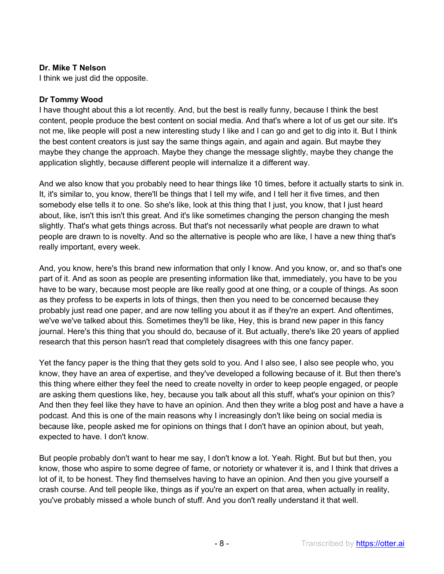I think we just did the opposite.

#### **Dr Tommy Wood**

I have thought about this a lot recently. And, but the best is really funny, because I think the best content, people produce the best content on social media. And that's where a lot of us get our site. It's not me, like people will post a new interesting study I like and I can go and get to dig into it. But I think the best content creators is just say the same things again, and again and again. But maybe they maybe they change the approach. Maybe they change the message slightly, maybe they change the application slightly, because different people will internalize it a different way.

And we also know that you probably need to hear things like 10 times, before it actually starts to sink in. It, it's similar to, you know, there'll be things that I tell my wife, and I tell her it five times, and then somebody else tells it to one. So she's like, look at this thing that I just, you know, that I just heard about, like, isn't this isn't this great. And it's like sometimes changing the person changing the mesh slightly. That's what gets things across. But that's not necessarily what people are drawn to what people are drawn to is novelty. And so the alternative is people who are like, I have a new thing that's really important, every week.

And, you know, here's this brand new information that only I know. And you know, or, and so that's one part of it. And as soon as people are presenting information like that, immediately, you have to be you have to be wary, because most people are like really good at one thing, or a couple of things. As soon as they profess to be experts in lots of things, then then you need to be concerned because they probably just read one paper, and are now telling you about it as if they're an expert. And oftentimes, we've we've talked about this. Sometimes they'll be like, Hey, this is brand new paper in this fancy journal. Here's this thing that you should do, because of it. But actually, there's like 20 years of applied research that this person hasn't read that completely disagrees with this one fancy paper.

Yet the fancy paper is the thing that they gets sold to you. And I also see, I also see people who, you know, they have an area of expertise, and they've developed a following because of it. But then there's this thing where either they feel the need to create novelty in order to keep people engaged, or people are asking them questions like, hey, because you talk about all this stuff, what's your opinion on this? And then they feel like they have to have an opinion. And then they write a blog post and have a have a podcast. And this is one of the main reasons why I increasingly don't like being on social media is because like, people asked me for opinions on things that I don't have an opinion about, but yeah, expected to have. I don't know.

But people probably don't want to hear me say, I don't know a lot. Yeah. Right. But but but then, you know, those who aspire to some degree of fame, or notoriety or whatever it is, and I think that drives a lot of it, to be honest. They find themselves having to have an opinion. And then you give yourself a crash course. And tell people like, things as if you're an expert on that area, when actually in reality, you've probably missed a whole bunch of stuff. And you don't really understand it that well.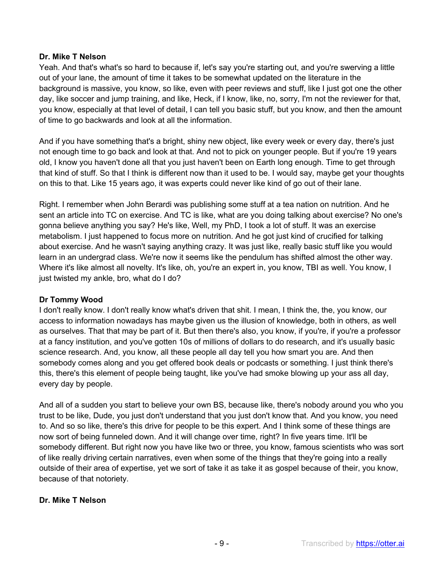Yeah. And that's what's so hard to because if, let's say you're starting out, and you're swerving a little out of your lane, the amount of time it takes to be somewhat updated on the literature in the background is massive, you know, so like, even with peer reviews and stuff, like I just got one the other day, like soccer and jump training, and like, Heck, if I know, like, no, sorry, I'm not the reviewer for that, you know, especially at that level of detail, I can tell you basic stuff, but you know, and then the amount of time to go backwards and look at all the information.

And if you have something that's a bright, shiny new object, like every week or every day, there's just not enough time to go back and look at that. And not to pick on younger people. But if you're 19 years old, I know you haven't done all that you just haven't been on Earth long enough. Time to get through that kind of stuff. So that I think is different now than it used to be. I would say, maybe get your thoughts on this to that. Like 15 years ago, it was experts could never like kind of go out of their lane.

Right. I remember when John Berardi was publishing some stuff at a tea nation on nutrition. And he sent an article into TC on exercise. And TC is like, what are you doing talking about exercise? No one's gonna believe anything you say? He's like, Well, my PhD, I took a lot of stuff. It was an exercise metabolism. I just happened to focus more on nutrition. And he got just kind of crucified for talking about exercise. And he wasn't saying anything crazy. It was just like, really basic stuff like you would learn in an undergrad class. We're now it seems like the pendulum has shifted almost the other way. Where it's like almost all novelty. It's like, oh, you're an expert in, you know, TBI as well. You know, I just twisted my ankle, bro, what do I do?

#### **Dr Tommy Wood**

I don't really know. I don't really know what's driven that shit. I mean, I think the, the, you know, our access to information nowadays has maybe given us the illusion of knowledge, both in others, as well as ourselves. That that may be part of it. But then there's also, you know, if you're, if you're a professor at a fancy institution, and you've gotten 10s of millions of dollars to do research, and it's usually basic science research. And, you know, all these people all day tell you how smart you are. And then somebody comes along and you get offered book deals or podcasts or something. I just think there's this, there's this element of people being taught, like you've had smoke blowing up your ass all day, every day by people.

And all of a sudden you start to believe your own BS, because like, there's nobody around you who you trust to be like, Dude, you just don't understand that you just don't know that. And you know, you need to. And so so like, there's this drive for people to be this expert. And I think some of these things are now sort of being funneled down. And it will change over time, right? In five years time. It'll be somebody different. But right now you have like two or three, you know, famous scientists who was sort of like really driving certain narratives, even when some of the things that they're going into a really outside of their area of expertise, yet we sort of take it as take it as gospel because of their, you know, because of that notoriety.

#### **Dr. Mike T Nelson**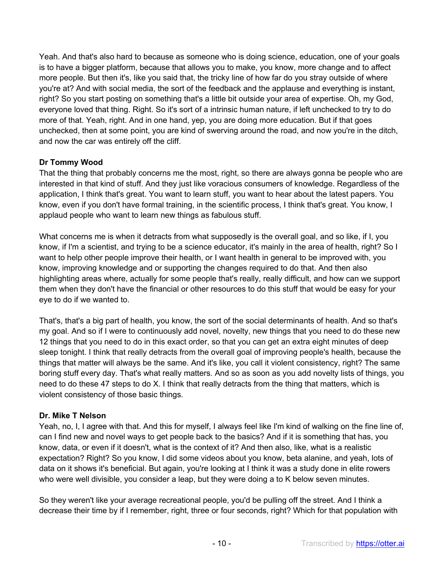Yeah. And that's also hard to because as someone who is doing science, education, one of your goals is to have a bigger platform, because that allows you to make, you know, more change and to affect more people. But then it's, like you said that, the tricky line of how far do you stray outside of where you're at? And with social media, the sort of the feedback and the applause and everything is instant, right? So you start posting on something that's a little bit outside your area of expertise. Oh, my God, everyone loved that thing. Right. So it's sort of a intrinsic human nature, if left unchecked to try to do more of that. Yeah, right. And in one hand, yep, you are doing more education. But if that goes unchecked, then at some point, you are kind of swerving around the road, and now you're in the ditch, and now the car was entirely off the cliff.

# **Dr Tommy Wood**

That the thing that probably concerns me the most, right, so there are always gonna be people who are interested in that kind of stuff. And they just like voracious consumers of knowledge. Regardless of the application, I think that's great. You want to learn stuff, you want to hear about the latest papers. You know, even if you don't have formal training, in the scientific process, I think that's great. You know, I applaud people who want to learn new things as fabulous stuff.

What concerns me is when it detracts from what supposedly is the overall goal, and so like, if I, you know, if I'm a scientist, and trying to be a science educator, it's mainly in the area of health, right? So I want to help other people improve their health, or I want health in general to be improved with, you know, improving knowledge and or supporting the changes required to do that. And then also highlighting areas where, actually for some people that's really, really difficult, and how can we support them when they don't have the financial or other resources to do this stuff that would be easy for your eye to do if we wanted to.

That's, that's a big part of health, you know, the sort of the social determinants of health. And so that's my goal. And so if I were to continuously add novel, novelty, new things that you need to do these new 12 things that you need to do in this exact order, so that you can get an extra eight minutes of deep sleep tonight. I think that really detracts from the overall goal of improving people's health, because the things that matter will always be the same. And it's like, you call it violent consistency, right? The same boring stuff every day. That's what really matters. And so as soon as you add novelty lists of things, you need to do these 47 steps to do X. I think that really detracts from the thing that matters, which is violent consistency of those basic things.

# **Dr. Mike T Nelson**

Yeah, no, I, I agree with that. And this for myself, I always feel like I'm kind of walking on the fine line of, can I find new and novel ways to get people back to the basics? And if it is something that has, you know, data, or even if it doesn't, what is the context of it? And then also, like, what is a realistic expectation? Right? So you know, I did some videos about you know, beta alanine, and yeah, lots of data on it shows it's beneficial. But again, you're looking at I think it was a study done in elite rowers who were well divisible, you consider a leap, but they were doing a to K below seven minutes.

So they weren't like your average recreational people, you'd be pulling off the street. And I think a decrease their time by if I remember, right, three or four seconds, right? Which for that population with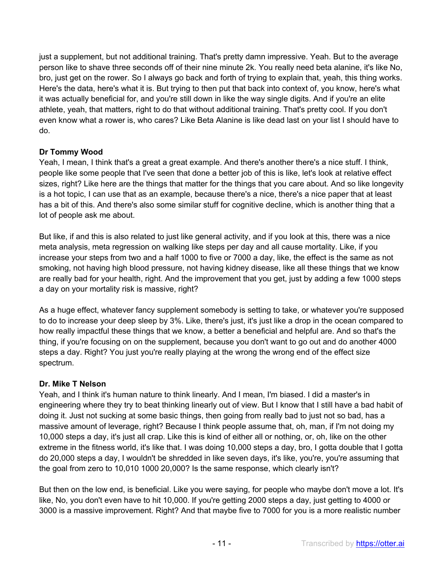just a supplement, but not additional training. That's pretty damn impressive. Yeah. But to the average person like to shave three seconds off of their nine minute 2k. You really need beta alanine, it's like No, bro, just get on the rower. So I always go back and forth of trying to explain that, yeah, this thing works. Here's the data, here's what it is. But trying to then put that back into context of, you know, here's what it was actually beneficial for, and you're still down in like the way single digits. And if you're an elite athlete, yeah, that matters, right to do that without additional training. That's pretty cool. If you don't even know what a rower is, who cares? Like Beta Alanine is like dead last on your list I should have to do.

# **Dr Tommy Wood**

Yeah, I mean, I think that's a great a great example. And there's another there's a nice stuff. I think, people like some people that I've seen that done a better job of this is like, let's look at relative effect sizes, right? Like here are the things that matter for the things that you care about. And so like longevity is a hot topic, I can use that as an example, because there's a nice, there's a nice paper that at least has a bit of this. And there's also some similar stuff for cognitive decline, which is another thing that a lot of people ask me about.

But like, if and this is also related to just like general activity, and if you look at this, there was a nice meta analysis, meta regression on walking like steps per day and all cause mortality. Like, if you increase your steps from two and a half 1000 to five or 7000 a day, like, the effect is the same as not smoking, not having high blood pressure, not having kidney disease, like all these things that we know are really bad for your health, right. And the improvement that you get, just by adding a few 1000 steps a day on your mortality risk is massive, right?

As a huge effect, whatever fancy supplement somebody is setting to take, or whatever you're supposed to do to increase your deep sleep by 3%. Like, there's just, it's just like a drop in the ocean compared to how really impactful these things that we know, a better a beneficial and helpful are. And so that's the thing, if you're focusing on on the supplement, because you don't want to go out and do another 4000 steps a day. Right? You just you're really playing at the wrong the wrong end of the effect size spectrum.

# **Dr. Mike T Nelson**

Yeah, and I think it's human nature to think linearly. And I mean, I'm biased. I did a master's in engineering where they try to beat thinking linearly out of view. But I know that I still have a bad habit of doing it. Just not sucking at some basic things, then going from really bad to just not so bad, has a massive amount of leverage, right? Because I think people assume that, oh, man, if I'm not doing my 10,000 steps a day, it's just all crap. Like this is kind of either all or nothing, or, oh, like on the other extreme in the fitness world, it's like that. I was doing 10,000 steps a day, bro, I gotta double that I gotta do 20,000 steps a day, I wouldn't be shredded in like seven days, it's like, you're, you're assuming that the goal from zero to 10,010 1000 20,000? Is the same response, which clearly isn't?

But then on the low end, is beneficial. Like you were saying, for people who maybe don't move a lot. It's like, No, you don't even have to hit 10,000. If you're getting 2000 steps a day, just getting to 4000 or 3000 is a massive improvement. Right? And that maybe five to 7000 for you is a more realistic number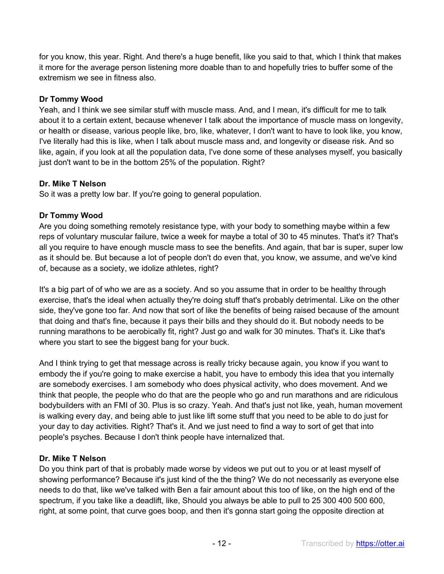for you know, this year. Right. And there's a huge benefit, like you said to that, which I think that makes it more for the average person listening more doable than to and hopefully tries to buffer some of the extremism we see in fitness also.

# **Dr Tommy Wood**

Yeah, and I think we see similar stuff with muscle mass. And, and I mean, it's difficult for me to talk about it to a certain extent, because whenever I talk about the importance of muscle mass on longevity, or health or disease, various people like, bro, like, whatever, I don't want to have to look like, you know, I've literally had this is like, when I talk about muscle mass and, and longevity or disease risk. And so like, again, if you look at all the population data, I've done some of these analyses myself, you basically just don't want to be in the bottom 25% of the population. Right?

# **Dr. Mike T Nelson**

So it was a pretty low bar. If you're going to general population.

# **Dr Tommy Wood**

Are you doing something remotely resistance type, with your body to something maybe within a few reps of voluntary muscular failure, twice a week for maybe a total of 30 to 45 minutes. That's it? That's all you require to have enough muscle mass to see the benefits. And again, that bar is super, super low as it should be. But because a lot of people don't do even that, you know, we assume, and we've kind of, because as a society, we idolize athletes, right?

It's a big part of of who we are as a society. And so you assume that in order to be healthy through exercise, that's the ideal when actually they're doing stuff that's probably detrimental. Like on the other side, they've gone too far. And now that sort of like the benefits of being raised because of the amount that doing and that's fine, because it pays their bills and they should do it. But nobody needs to be running marathons to be aerobically fit, right? Just go and walk for 30 minutes. That's it. Like that's where you start to see the biggest bang for your buck.

And I think trying to get that message across is really tricky because again, you know if you want to embody the if you're going to make exercise a habit, you have to embody this idea that you internally are somebody exercises. I am somebody who does physical activity, who does movement. And we think that people, the people who do that are the people who go and run marathons and are ridiculous bodybuilders with an FMI of 30. Plus is so crazy. Yeah. And that's just not like, yeah, human movement is walking every day, and being able to just like lift some stuff that you need to be able to do just for your day to day activities. Right? That's it. And we just need to find a way to sort of get that into people's psyches. Because I don't think people have internalized that.

# **Dr. Mike T Nelson**

Do you think part of that is probably made worse by videos we put out to you or at least myself of showing performance? Because it's just kind of the the thing? We do not necessarily as everyone else needs to do that, like we've talked with Ben a fair amount about this too of like, on the high end of the spectrum, if you take like a deadlift, like, Should you always be able to pull to 25 300 400 500 600, right, at some point, that curve goes boop, and then it's gonna start going the opposite direction at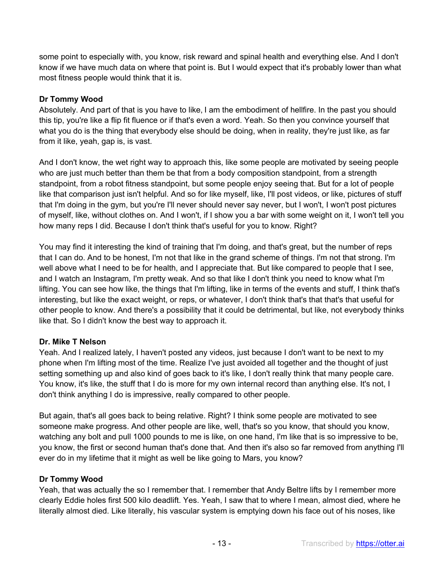some point to especially with, you know, risk reward and spinal health and everything else. And I don't know if we have much data on where that point is. But I would expect that it's probably lower than what most fitness people would think that it is.

### **Dr Tommy Wood**

Absolutely. And part of that is you have to like, I am the embodiment of hellfire. In the past you should this tip, you're like a flip fit fluence or if that's even a word. Yeah. So then you convince yourself that what you do is the thing that everybody else should be doing, when in reality, they're just like, as far from it like, yeah, gap is, is vast.

And I don't know, the wet right way to approach this, like some people are motivated by seeing people who are just much better than them be that from a body composition standpoint, from a strength standpoint, from a robot fitness standpoint, but some people enjoy seeing that. But for a lot of people like that comparison just isn't helpful. And so for like myself, like, I'll post videos, or like, pictures of stuff that I'm doing in the gym, but you're I'll never should never say never, but I won't, I won't post pictures of myself, like, without clothes on. And I won't, if I show you a bar with some weight on it, I won't tell you how many reps I did. Because I don't think that's useful for you to know. Right?

You may find it interesting the kind of training that I'm doing, and that's great, but the number of reps that I can do. And to be honest, I'm not that like in the grand scheme of things. I'm not that strong. I'm well above what I need to be for health, and I appreciate that. But like compared to people that I see, and I watch an Instagram, I'm pretty weak. And so that like I don't think you need to know what I'm lifting. You can see how like, the things that I'm lifting, like in terms of the events and stuff, I think that's interesting, but like the exact weight, or reps, or whatever, I don't think that's that that's that useful for other people to know. And there's a possibility that it could be detrimental, but like, not everybody thinks like that. So I didn't know the best way to approach it.

#### **Dr. Mike T Nelson**

Yeah. And I realized lately, I haven't posted any videos, just because I don't want to be next to my phone when I'm lifting most of the time. Realize I've just avoided all together and the thought of just setting something up and also kind of goes back to it's like, I don't really think that many people care. You know, it's like, the stuff that I do is more for my own internal record than anything else. It's not, I don't think anything I do is impressive, really compared to other people.

But again, that's all goes back to being relative. Right? I think some people are motivated to see someone make progress. And other people are like, well, that's so you know, that should you know, watching any bolt and pull 1000 pounds to me is like, on one hand, I'm like that is so impressive to be, you know, the first or second human that's done that. And then it's also so far removed from anything I'll ever do in my lifetime that it might as well be like going to Mars, you know?

#### **Dr Tommy Wood**

Yeah, that was actually the so I remember that. I remember that Andy Beltre lifts by I remember more clearly Eddie holes first 500 kilo deadlift. Yes. Yeah, I saw that to where I mean, almost died, where he literally almost died. Like literally, his vascular system is emptying down his face out of his noses, like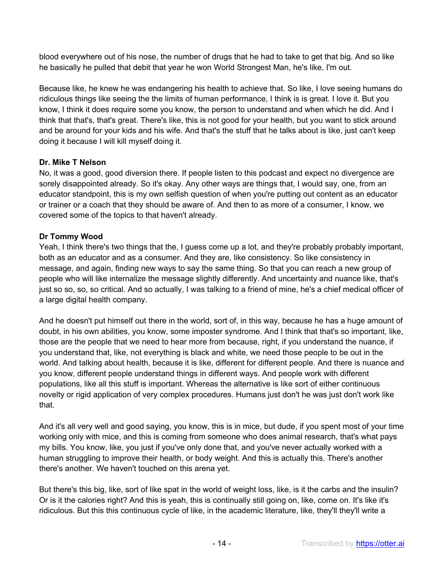blood everywhere out of his nose, the number of drugs that he had to take to get that big. And so like he basically he pulled that debit that year he won World Strongest Man, he's like, I'm out.

Because like, he knew he was endangering his health to achieve that. So like, I love seeing humans do ridiculous things like seeing the the limits of human performance, I think is is great. I love it. But you know, I think it does require some you know, the person to understand and when which he did. And I think that that's, that's great. There's like, this is not good for your health, but you want to stick around and be around for your kids and his wife. And that's the stuff that he talks about is like, just can't keep doing it because I will kill myself doing it.

### **Dr. Mike T Nelson**

No, it was a good, good diversion there. If people listen to this podcast and expect no divergence are sorely disappointed already. So it's okay. Any other ways are things that, I would say, one, from an educator standpoint, this is my own selfish question of when you're putting out content as an educator or trainer or a coach that they should be aware of. And then to as more of a consumer, I know, we covered some of the topics to that haven't already.

### **Dr Tommy Wood**

Yeah, I think there's two things that the, I guess come up a lot, and they're probably probably important, both as an educator and as a consumer. And they are, like consistency. So like consistency in message, and again, finding new ways to say the same thing. So that you can reach a new group of people who will like internalize the message slightly differently. And uncertainty and nuance like, that's just so so, so, so critical. And so actually, I was talking to a friend of mine, he's a chief medical officer of a large digital health company.

And he doesn't put himself out there in the world, sort of, in this way, because he has a huge amount of doubt, in his own abilities, you know, some imposter syndrome. And I think that that's so important, like, those are the people that we need to hear more from because, right, if you understand the nuance, if you understand that, like, not everything is black and white, we need those people to be out in the world. And talking about health, because it is like, different for different people. And there is nuance and you know, different people understand things in different ways. And people work with different populations, like all this stuff is important. Whereas the alternative is like sort of either continuous novelty or rigid application of very complex procedures. Humans just don't he was just don't work like that.

And it's all very well and good saying, you know, this is in mice, but dude, if you spent most of your time working only with mice, and this is coming from someone who does animal research, that's what pays my bills. You know, like, you just if you've only done that, and you've never actually worked with a human struggling to improve their health, or body weight. And this is actually this. There's another there's another. We haven't touched on this arena yet.

But there's this big, like, sort of like spat in the world of weight loss, like, is it the carbs and the insulin? Or is it the calories right? And this is yeah, this is continually still going on, like, come on. It's like it's ridiculous. But this this continuous cycle of like, in the academic literature, like, they'll they'll write a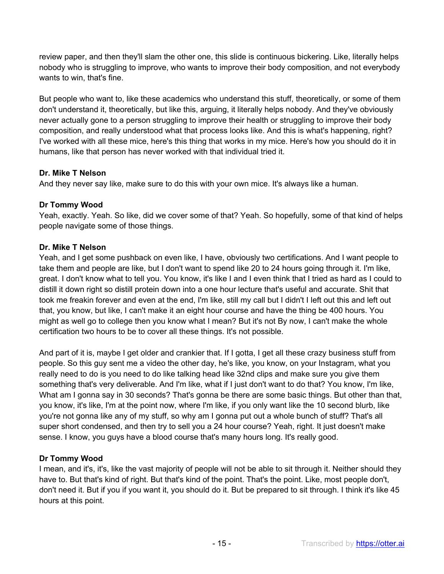review paper, and then they'll slam the other one, this slide is continuous bickering. Like, literally helps nobody who is struggling to improve, who wants to improve their body composition, and not everybody wants to win, that's fine.

But people who want to, like these academics who understand this stuff, theoretically, or some of them don't understand it, theoretically, but like this, arguing, it literally helps nobody. And they've obviously never actually gone to a person struggling to improve their health or struggling to improve their body composition, and really understood what that process looks like. And this is what's happening, right? I've worked with all these mice, here's this thing that works in my mice. Here's how you should do it in humans, like that person has never worked with that individual tried it.

# **Dr. Mike T Nelson**

And they never say like, make sure to do this with your own mice. It's always like a human.

# **Dr Tommy Wood**

Yeah, exactly. Yeah. So like, did we cover some of that? Yeah. So hopefully, some of that kind of helps people navigate some of those things.

# **Dr. Mike T Nelson**

Yeah, and I get some pushback on even like, I have, obviously two certifications. And I want people to take them and people are like, but I don't want to spend like 20 to 24 hours going through it. I'm like, great. I don't know what to tell you. You know, it's like I and I even think that I tried as hard as I could to distill it down right so distill protein down into a one hour lecture that's useful and accurate. Shit that took me freakin forever and even at the end, I'm like, still my call but I didn't I left out this and left out that, you know, but like, I can't make it an eight hour course and have the thing be 400 hours. You might as well go to college then you know what I mean? But it's not By now, I can't make the whole certification two hours to be to cover all these things. It's not possible.

And part of it is, maybe I get older and crankier that. If I gotta, I get all these crazy business stuff from people. So this guy sent me a video the other day, he's like, you know, on your Instagram, what you really need to do is you need to do like talking head like 32nd clips and make sure you give them something that's very deliverable. And I'm like, what if I just don't want to do that? You know, I'm like, What am I gonna say in 30 seconds? That's gonna be there are some basic things. But other than that, you know, it's like, I'm at the point now, where I'm like, if you only want like the 10 second blurb, like you're not gonna like any of my stuff, so why am I gonna put out a whole bunch of stuff? That's all super short condensed, and then try to sell you a 24 hour course? Yeah, right. It just doesn't make sense. I know, you guys have a blood course that's many hours long. It's really good.

# **Dr Tommy Wood**

I mean, and it's, it's, like the vast majority of people will not be able to sit through it. Neither should they have to. But that's kind of right. But that's kind of the point. That's the point. Like, most people don't, don't need it. But if you if you want it, you should do it. But be prepared to sit through. I think it's like 45 hours at this point.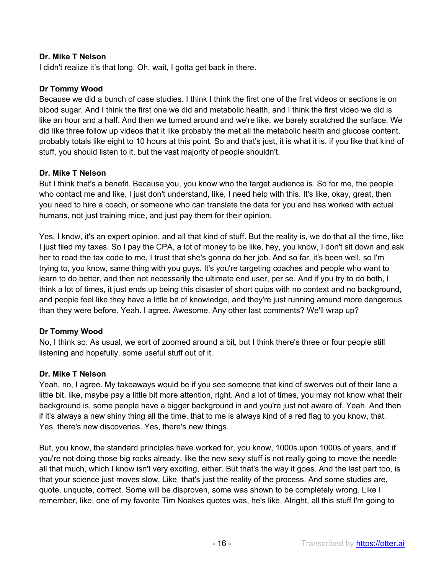I didn't realize it's that long. Oh, wait, I gotta get back in there.

### **Dr Tommy Wood**

Because we did a bunch of case studies. I think I think the first one of the first videos or sections is on blood sugar. And I think the first one we did and metabolic health, and I think the first video we did is like an hour and a half. And then we turned around and we're like, we barely scratched the surface. We did like three follow up videos that it like probably the met all the metabolic health and glucose content, probably totals like eight to 10 hours at this point. So and that's just, it is what it is, if you like that kind of stuff, you should listen to it, but the vast majority of people shouldn't.

#### **Dr. Mike T Nelson**

But I think that's a benefit. Because you, you know who the target audience is. So for me, the people who contact me and like, I just don't understand, like, I need help with this. It's like, okay, great, then you need to hire a coach, or someone who can translate the data for you and has worked with actual humans, not just training mice, and just pay them for their opinion.

Yes, I know, it's an expert opinion, and all that kind of stuff. But the reality is, we do that all the time, like I just filed my taxes. So I pay the CPA, a lot of money to be like, hey, you know, I don't sit down and ask her to read the tax code to me, I trust that she's gonna do her job. And so far, it's been well, so I'm trying to, you know, same thing with you guys. It's you're targeting coaches and people who want to learn to do better, and then not necessarily the ultimate end user, per se. And if you try to do both, I think a lot of times, it just ends up being this disaster of short quips with no context and no background, and people feel like they have a little bit of knowledge, and they're just running around more dangerous than they were before. Yeah. I agree. Awesome. Any other last comments? We'll wrap up?

# **Dr Tommy Wood**

No, I think so. As usual, we sort of zoomed around a bit, but I think there's three or four people still listening and hopefully, some useful stuff out of it.

#### **Dr. Mike T Nelson**

Yeah, no, I agree. My takeaways would be if you see someone that kind of swerves out of their lane a little bit, like, maybe pay a little bit more attention, right. And a lot of times, you may not know what their background is, some people have a bigger background in and you're just not aware of. Yeah. And then if it's always a new shiny thing all the time, that to me is always kind of a red flag to you know, that. Yes, there's new discoveries. Yes, there's new things.

But, you know, the standard principles have worked for, you know, 1000s upon 1000s of years, and if you're not doing those big rocks already, like the new sexy stuff is not really going to move the needle all that much, which I know isn't very exciting, either. But that's the way it goes. And the last part too, is that your science just moves slow. Like, that's just the reality of the process. And some studies are, quote, unquote, correct. Some will be disproven, some was shown to be completely wrong. Like I remember, like, one of my favorite Tim Noakes quotes was, he's like, Alright, all this stuff I'm going to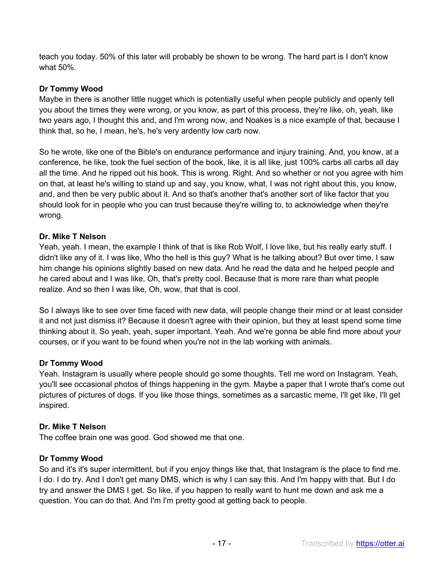teach you today. 50% of this later will probably be shown to be wrong. The hard part is I don't know what 50%.

### **Dr Tommy Wood**

Maybe in there is another little nugget which is potentially useful when people publicly and openly tell you about the times they were wrong, or you know, as part of this process, they're like, oh, yeah, like two years ago, I thought this and, and I'm wrong now, and Noakes is a nice example of that, because I think that, so he, I mean, he's, he's very ardently low carb now.

So he wrote, like one of the Bible's on endurance performance and injury training. And, you know, at a conference, he like, took the fuel section of the book, like, it is all like, just 100% carbs all carbs all day all the time. And he ripped out his book. This is wrong. Right. And so whether or not you agree with him on that, at least he's willing to stand up and say, you know, what, I was not right about this, you know, and, and then be very public about it. And so that's another that's another sort of like factor that you should look for in people who you can trust because they're willing to, to acknowledge when they're wrong.

### **Dr. Mike T Nelson**

Yeah, yeah. I mean, the example I think of that is like Rob Wolf, I love like, but his really early stuff. I didn't like any of it. I was like, Who the hell is this guy? What is he talking about? But over time, I saw him change his opinions slightly based on new data. And he read the data and he helped people and he cared about and I was like, Oh, that's pretty cool. Because that is more rare than what people realize. And so then I was like, Oh, wow, that that is cool.

So I always like to see over time faced with new data, will people change their mind or at least consider it and not just dismiss it? Because it doesn't agree with their opinion, but they at least spend some time thinking about it. So yeah, yeah, super important. Yeah. And we're gonna be able find more about your courses, or if you want to be found when you're not in the lab working with animals.

#### **Dr Tommy Wood**

Yeah. Instagram is usually where people should go some thoughts. Tell me word on Instagram. Yeah, you'll see occasional photos of things happening in the gym. Maybe a paper that I wrote that's come out pictures of pictures of dogs. If you like those things, sometimes as a sarcastic meme, I'll get like, I'll get inspired.

#### **Dr. Mike T Nelson**

The coffee brain one was good. God showed me that one.

#### **Dr Tommy Wood**

So and it's it's super intermittent, but if you enjoy things like that, that Instagram is the place to find me. I do. I do try. And I don't get many DMS, which is why I can say this. And I'm happy with that. But I do try and answer the DMS I get. So like, if you happen to really want to hunt me down and ask me a question. You can do that. And I'm I'm pretty good at getting back to people.